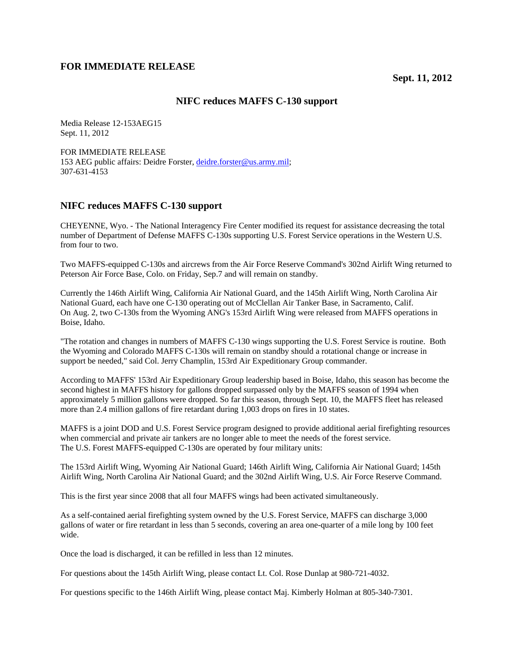## **FOR IMMEDIATE RELEASE**

## **NIFC reduces MAFFS C-130 support**

Media Release 12-153AEG15 Sept. 11, 2012

FOR IMMEDIATE RELEASE 153 AEG public affairs: Deidre Forster, deidre.forster@us.army.mil; 307-631-4153

## **NIFC reduces MAFFS C-130 support**

CHEYENNE, Wyo. - The National Interagency Fire Center modified its request for assistance decreasing the total number of Department of Defense MAFFS C-130s supporting U.S. Forest Service operations in the Western U.S. from four to two.

Two MAFFS-equipped C-130s and aircrews from the Air Force Reserve Command's 302nd Airlift Wing returned to Peterson Air Force Base, Colo. on Friday, Sep.7 and will remain on standby.

Currently the 146th Airlift Wing, California Air National Guard, and the 145th Airlift Wing, North Carolina Air National Guard, each have one C-130 operating out of McClellan Air Tanker Base, in Sacramento, Calif. On Aug. 2, two C-130s from the Wyoming ANG's 153rd Airlift Wing were released from MAFFS operations in Boise, Idaho.

"The rotation and changes in numbers of MAFFS C-130 wings supporting the U.S. Forest Service is routine. Both the Wyoming and Colorado MAFFS C-130s will remain on standby should a rotational change or increase in support be needed," said Col. Jerry Champlin, 153rd Air Expeditionary Group commander.

According to MAFFS' 153rd Air Expeditionary Group leadership based in Boise, Idaho, this season has become the second highest in MAFFS history for gallons dropped surpassed only by the MAFFS season of 1994 when approximately 5 million gallons were dropped. So far this season, through Sept. 10, the MAFFS fleet has released more than 2.4 million gallons of fire retardant during 1,003 drops on fires in 10 states.

MAFFS is a joint DOD and U.S. Forest Service program designed to provide additional aerial firefighting resources when commercial and private air tankers are no longer able to meet the needs of the forest service. The U.S. Forest MAFFS-equipped C-130s are operated by four military units:

The 153rd Airlift Wing, Wyoming Air National Guard; 146th Airlift Wing, California Air National Guard; 145th Airlift Wing, North Carolina Air National Guard; and the 302nd Airlift Wing, U.S. Air Force Reserve Command.

This is the first year since 2008 that all four MAFFS wings had been activated simultaneously.

As a self-contained aerial firefighting system owned by the U.S. Forest Service, MAFFS can discharge 3,000 gallons of water or fire retardant in less than 5 seconds, covering an area one-quarter of a mile long by 100 feet wide.

Once the load is discharged, it can be refilled in less than 12 minutes.

For questions about the 145th Airlift Wing, please contact Lt. Col. Rose Dunlap at 980-721-4032.

For questions specific to the 146th Airlift Wing, please contact Maj. Kimberly Holman at 805-340-7301.